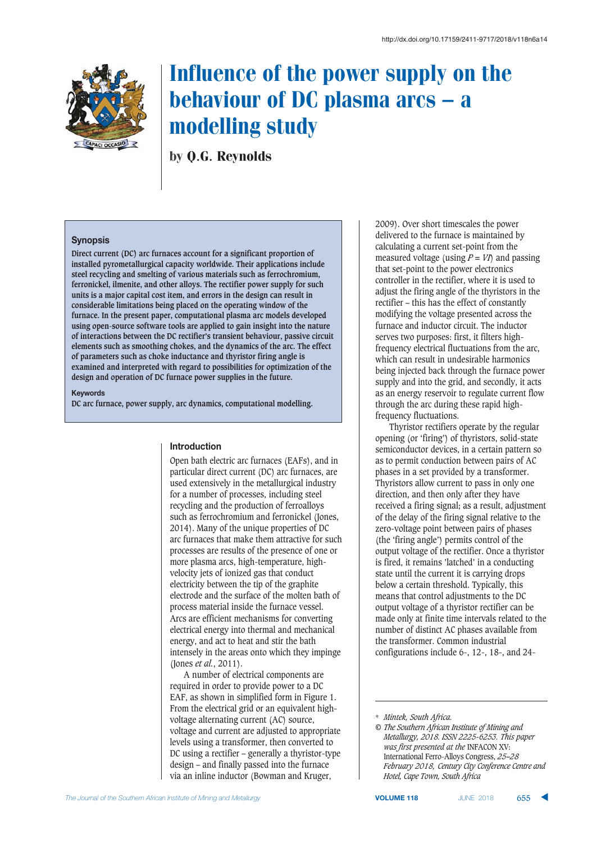

by Q.G. Reynolds

# **Synopsis**

**Direct current (DC) arc furnaces account for a significant proportion of installed pyrometallurgical capacity worldwide. Their applications include steel recycling and smelting of various materials such as ferrochromium, ferronickel, ilmenite, and other alloys. The rectifier power supply for such units is a major capital cost item, and errors in the design can result in considerable limitations being placed on the operating window of the furnace. In the present paper, computational plasma arc models developed using open-source software tools are applied to gain insight into the nature of interactions between the DC rectifier's transient behaviour, passive circuit elements such as smoothing chokes, and the dynamics of the arc. The effect of parameters such as choke inductance and thyristor firing angle is examined and interpreted with regard to possibilities for optimization of the design and operation of DC furnace power supplies in the future.**

#### **Kevwords**

**DC arc furnace, power supply, arc dynamics, computational modelling.**

# **htroduction**

Open bath electric arc furnaces (EAFs), and in particular direct current (DC) arc furnaces, are used extensively in the metallurgical industry for a number of processes, including steel recycling and the production of ferroalloys such as ferrochromium and ferronickel (Jones, 2014). Many of the unique properties of DC arc furnaces that make them attractive for such processes are results of the presence of one or more plasma arcs, high-temperature, highvelocity jets of ionized gas that conduct electricity between the tip of the graphite electrode and the surface of the molten bath of process material inside the furnace vessel. Arcs are efficient mechanisms for converting electrical energy into thermal and mechanical energy, and act to heat and stir the bath intensely in the areas onto which they impinge (Jones *et al.*, 2011).

A number of electrical components are required in order to provide power to a DC EAF, as shown in simplified form in Figure 1. From the electrical grid or an equivalent highvoltage alternating current (AC) source, voltage and current are adjusted to appropriate levels using a transformer, then converted to DC using a rectifier – generally a thyristor-type design – and finally passed into the furnace via an inline inductor (Bowman and Kruger,

2009). Over short timescales the power delivered to the furnace is maintained by calculating a current set-point from the measured voltage (using  $P = VI$ ) and passing that set-point to the power electronics controller in the rectifier, where it is used to adjust the firing angle of the thyristors in the rectifier – this has the effect of constantly modifying the voltage presented across the furnace and inductor circuit. The inductor serves two purposes: first, it filters highfrequency electrical fluctuations from the arc, which can result in undesirable harmonics being injected back through the furnace power supply and into the grid, and secondly, it acts as an energy reservoir to regulate current flow through the arc during these rapid highfrequency fluctuations.

Thyristor rectifiers operate by the regular opening (or 'firing') of thyristors, solid-state semiconductor devices, in a certain pattern so as to permit conduction between pairs of AC phases in a set provided by a transformer. Thyristors allow current to pass in only one direction, and then only after they have received a firing signal; as a result, adjustment of the delay of the firing signal relative to the zero-voltage point between pairs of phases (the 'firing angle') permits control of the output voltage of the rectifier. Once a thyristor is fired, it remains 'latched' in a conducting state until the current it is carrying drops below a certain threshold. Typically, this means that control adjustments to the DC output voltage of a thyristor rectifier can be made only at finite time intervals related to the number of distinct AC phases available from the transformer. Common industrial configurations include 6-, 12-, 18-, and 24-

<sup>\*</sup> *Mintek, South Africa.*

*<sup>©</sup> The Southern African Institute of Mining and Metallurgy, 2018. ISSN 2225-6253. This paper was first presented at the* INFACON XV: International Ferro-Alloys Congress, *25–28 February 2018, Century City Conference Centre and Hotel, Cape Town, South Africa*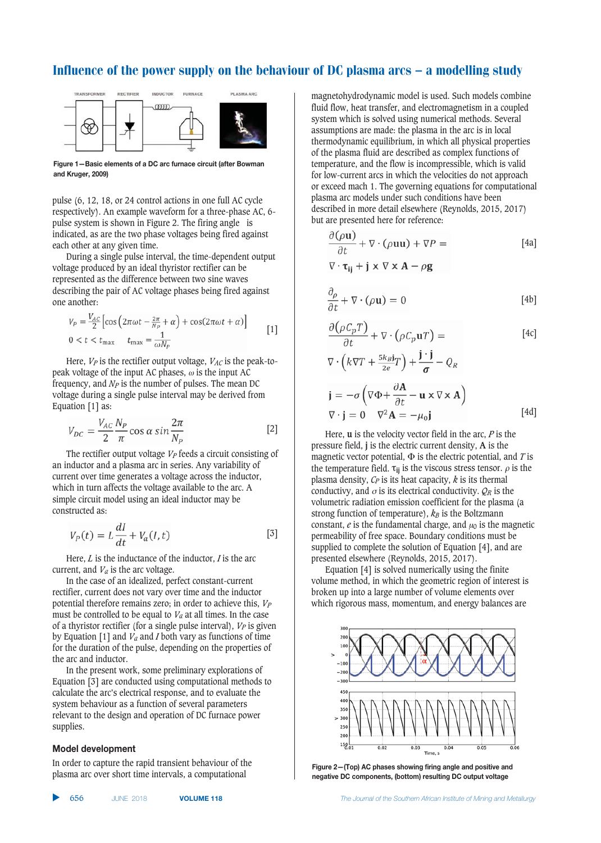

Figure 1-Basic elements of a DC arc furnace circuit (after Bowman  $2009$ 

pulse (6, 12, 18, or 24 control actions in one full AC cycle respectively). An example waveform for a three-phase AC, 6 pulse system is shown in Figure 2. The firing angle is indicated, as are the two phase voltages being fired against each other at any given time.

During a single pulse interval, the time-dependent output voltage produced by an ideal thyristor rectifier can be represented as the difference between two sine waves describing the pair of AC voltage phases being fired against one another:

$$
V_P = \frac{V_{AC}}{2} \left[ \cos \left( 2\pi \omega t - \frac{2\pi}{N_P} + \alpha \right) + \cos(2\pi \omega t + \alpha) \right]
$$
  
0 < t < t<sub>max</sub>  $t_{\text{max}} = \frac{1}{\omega N_P}$  [1]

Here,  $V_P$  is the rectifier output voltage,  $V_{AC}$  is the peak-topeak voltage of the input AC phases,  $\omega$  is the input AC frequency, and *NP* is the number of pulses. The mean DC voltage during a single pulse interval may be derived from Equation [1] as:

$$
V_{DC} = \frac{V_{AC}}{2} \frac{N_P}{\pi} \cos \alpha \sin \frac{2\pi}{N_P}
$$
 [2]

The rectifier output voltage *V<sub>P</sub>* feeds a circuit consisting of an inductor and a plasma arc in series. Any variability of current over time generates a voltage across the inductor, which in turn affects the voltage available to the arc. A simple circuit model using an ideal inductor may be constructed as:

$$
V_P(t) = L\frac{dI}{dt} + V_a(I, t)
$$
 [3]

Here, *L* is the inductance of the inductor, *I* is the arc current, and  $V_a$  is the arc voltage.

In the case of an idealized, perfect constant-current rectifier, current does not vary over time and the inductor potential therefore remains zero; in order to achieve this, *VP* must be controlled to be equal to  $V_a$  at all times. In the case of a thyristor rectifier (for a single pulse interval), *VP* is given by Equation [1] and *Va* and *I* both vary as functions of time for the duration of the pulse, depending on the properties of the arc and inductor.

In the present work, some preliminary explorations of Equation [3] are conducted using computational methods to calculate the arc's electrical response, and to evaluate the system behaviour as a function of several parameters relevant to the design and operation of DC furnace power supplies.

### **Model development**

In order to capture the rapid transient behaviour of the plasma arc over short time intervals, a computational

magnetohydrodynamic model is used. Such models combine fluid flow, heat transfer, and electromagnetism in a coupled system which is solved using numerical methods. Several assumptions are made: the plasma in the arc is in local thermodynamic equilibrium, in which all physical properties of the plasma fluid are described as complex functions of temperature, and the flow is incompressible, which is valid for low-current arcs in which the velocities do not approach or exceed mach 1. The governing equations for computational plasma arc models under such conditions have been described in more detail elsewhere (Reynolds, 2015, 2017) but are presented here for reference:

$$
\frac{\partial(\rho \mathbf{u})}{\partial t} + \nabla \cdot (\rho \mathbf{u} \mathbf{u}) + \nabla P = \qquad [4a]
$$

$$
\nabla \cdot \mathbf{\tau}_{ij} + \mathbf{j} \times \nabla \times \mathbf{A} - \rho \mathbf{g}
$$

$$
\frac{\partial \rho}{\partial t} + \nabla \cdot (\rho \mathbf{u}) = 0 \tag{4b}
$$

$$
\frac{\partial(\rho C_p T)}{\partial t} + \nabla \cdot (\rho C_p \mathbf{u} T) = \qquad [4c]
$$

$$
\nabla \cdot \left( k \nabla T + \frac{5k_B \mathbf{i}}{2e} T \right) + \frac{\mathbf{j} \cdot \mathbf{j}}{\sigma} - Q_R
$$

$$
\mathbf{j} = -\sigma \left( \nabla \Phi + \frac{\partial \mathbf{A}}{\partial t} - \mathbf{u} \times \nabla \times \mathbf{A} \right)
$$

$$
\nabla \cdot \mathbf{j} = 0 \quad \nabla^2 \mathbf{A} = -\mu_0 \mathbf{j} \tag{4d}
$$

Here, **u** is the velocity vector field in the arc, *P* is the pressure field, **j** is the electric current density, **A** is the magnetic vector potential,  $\Phi$  is the electric potential, and *T* is the temperature field.  $\tau_{ij}$  is the viscous stress tensor.  $\rho$  is the plasma density, *CP* is its heat capacity, *k* is its thermal conductivy, and  $\sigma$  is its electrical conductivity.  $\mathcal{Q}_R$  is the volumetric radiation emission coefficient for the plasma (a strong function of temperature),  $k_B$  is the Boltzmann constant,  $e$  is the fundamental charge, and  $u_0$  is the magnetic permeability of free space. Boundary conditions must be supplied to complete the solution of Equation [4], and are presented elsewhere (Reynolds, 2015, 2017).

Equation [4] is solved numerically using the finite volume method, in which the geometric region of interest is broken up into a large number of volume elements over which rigorous mass, momentum, and energy balances are



**figure 2-(Top) AC phases showing firing angle and positive and** negative DC components, (bottom) resulting DC output voltage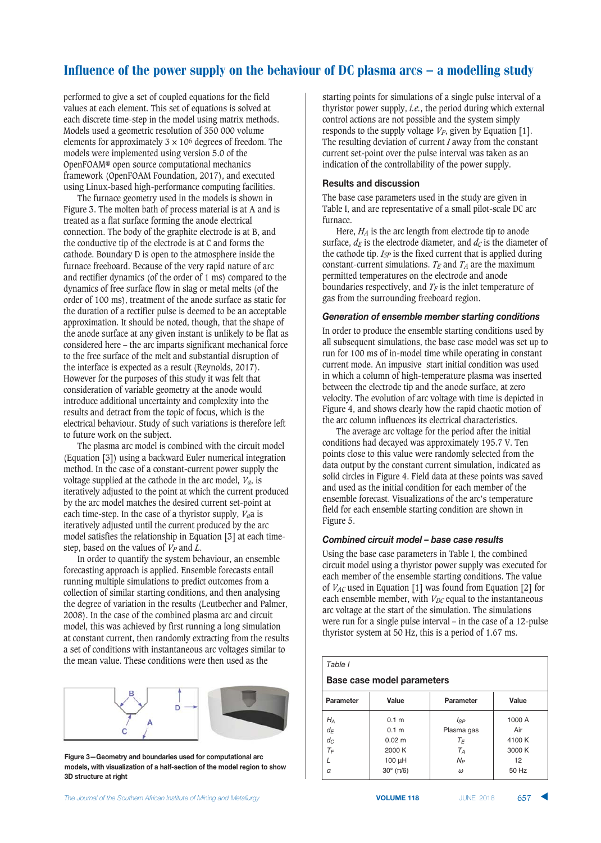performed to give a set of coupled equations for the field values at each element. This set of equations is solved at each discrete time-step in the model using matrix methods. Models used a geometric resolution of 350 000 volume elements for approximately  $3 \times 10^6$  degrees of freedom. The models were implemented using version 5.0 of the OpenFOAM® open source computational mechanics framework (OpenFOAM Foundation, 2017), and executed using Linux-based high-performance computing facilities.

The furnace geometry used in the models is shown in Figure 3. The molten bath of process material is at A and is treated as a flat surface forming the anode electrical connection. The body of the graphite electrode is at B, and the conductive tip of the electrode is at C and forms the cathode. Boundary D is open to the atmosphere inside the furnace freeboard. Because of the very rapid nature of arc and rectifier dynamics (of the order of 1 ms) compared to the dynamics of free surface flow in slag or metal melts (of the order of 100 ms), treatment of the anode surface as static for the duration of a rectifier pulse is deemed to be an acceptable approximation. It should be noted, though, that the shape of the anode surface at any given instant is unlikely to be flat as considered here – the arc imparts significant mechanical force to the free surface of the melt and substantial disruption of the interface is expected as a result (Reynolds, 2017). However for the purposes of this study it was felt that consideration of variable geometry at the anode would introduce additional uncertainty and complexity into the results and detract from the topic of focus, which is the electrical behaviour. Study of such variations is therefore left to future work on the subject.

The plasma arc model is combined with the circuit model (Equation [3]) using a backward Euler numerical integration method. In the case of a constant-current power supply the voltage supplied at the cathode in the arc model, *Va*, is iteratively adjusted to the point at which the current produced by the arc model matches the desired current set-point at each time-step. In the case of a thyristor supply, *Va*a is iteratively adjusted until the current produced by the arc model satisfies the relationship in Equation [3] at each timestep, based on the values of *VP* and *L*.

In order to quantify the system behaviour, an ensemble forecasting approach is applied. Ensemble forecasts entail running multiple simulations to predict outcomes from a collection of similar starting conditions, and then analysing the degree of variation in the results (Leutbecher and Palmer, 2008). In the case of the combined plasma arc and circuit model, this was achieved by first running a long simulation at constant current, then randomly extracting from the results a set of conditions with instantaneous arc voltages similar to the mean value. These conditions were then used as the



Figure 3-Geometry and boundaries used for computational arc models, with visualization of a half-section of the model region to show **13D structure at right** 

starting points for simulations of a single pulse interval of a thyristor power supply, *i.e.*, the period during which external control actions are not possible and the system simply responds to the supply voltage  $V_P$ , given by Equation [1]. The resulting deviation of current *I* away from the constant current set-point over the pulse interval was taken as an indication of the controllability of the power supply.

# $R$ **esults and discussion**

The base case parameters used in the study are given in Table I, and are representative of a small pilot-scale DC arc furnace.

Here, *HA* is the arc length from electrode tip to anode surface,  $d_E$  is the electrode diameter, and  $d_C$  is the diameter of the cathode tip. *ISP* is the fixed current that is applied during constant-current simulations.  $T_E$  and  $T_A$  are the maximum permitted temperatures on the electrode and anode boundaries respectively, and  $T_F$  is the inlet temperature of gas from the surrounding freeboard region.

# Generation of ensemble member starting conditions

In order to produce the ensemble starting conditions used by all subsequent simulations, the base case model was set up to run for 100 ms of in-model time while operating in constant current mode. An impusive start initial condition was used in which a column of high-temperature plasma was inserted between the electrode tip and the anode surface, at zero velocity. The evolution of arc voltage with time is depicted in Figure 4, and shows clearly how the rapid chaotic motion of the arc column influences its electrical characteristics.

The average arc voltage for the period after the initial conditions had decayed was approximately 195.7 V. Ten points close to this value were randomly selected from the data output by the constant current simulation, indicated as solid circles in Figure 4. Field data at these points was saved and used as the initial condition for each member of the ensemble forecast. Visualizations of the arc's temperature field for each ensemble starting condition are shown in Figure 5.

# Combined circuit model – base case results

Using the base case parameters in Table I, the combined circuit model using a thyristor power supply was executed for each member of the ensemble starting conditions. The value of *VAC* used in Equation [1] was found from Equation [2] for each ensemble member, with  $V_{DC}$  equal to the instantaneous arc voltage at the start of the simulation. The simulations were run for a single pulse interval – in the case of a 12-pulse thyristor system at 50 Hz, this is a period of 1.67 ms.

#### *Table I*

### **219:.219:04+9/ '282097981**

| Parameter | Value                  | Parameter   | Value  |
|-----------|------------------------|-------------|--------|
| $H_A$     | 0.1 <sub>m</sub>       | <b>I</b> sp | 1000 A |
| $d_{F}$   | 0.1 <sub>m</sub>       | Plasma gas  | Air    |
| $d_C$     | $0.02 \; m$            | $T_F$       | 4100 K |
| $T_F$     | 2000 K                 | $T_A$       | 3000 K |
|           | 100 µH                 | $N_P$       | 12     |
| $\alpha$  | $30^\circ$ ( $\pi/6$ ) | $\omega$    | 50 Hz  |

657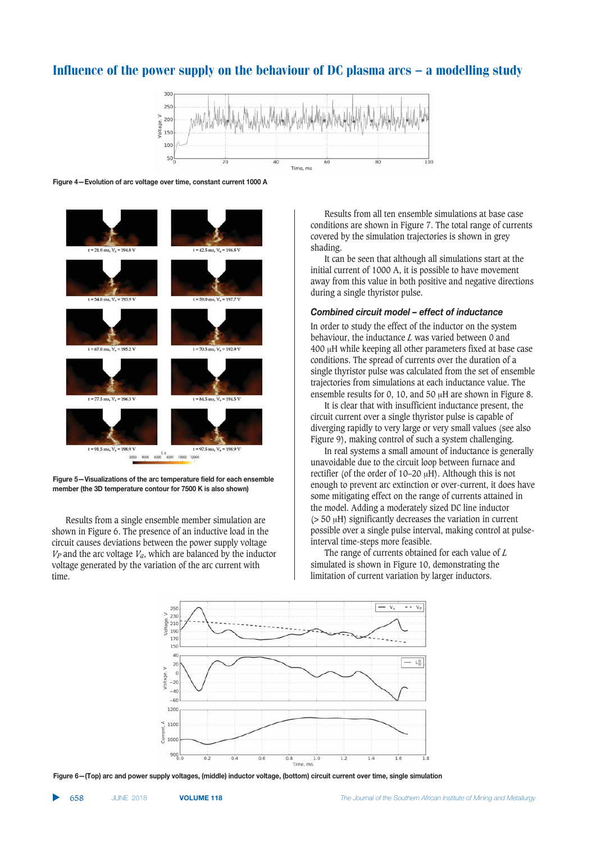

#### Figure 4-Evolution of arc voltage over time, constant current 1000 A



Figure 5-Visualizations of the arc temperature field for each ensemble member (the 3D temperature contour for 7500 K is also shown)

Results from a single ensemble member simulation are shown in Figure 6. The presence of an inductive load in the circuit causes deviations between the power supply voltage  $V_P$  and the arc voltage  $V_a$ , which are balanced by the inductor voltage generated by the variation of the arc current with time.

Results from all ten ensemble simulations at base case conditions are shown in Figure 7. The total range of currents covered by the simulation trajectories is shown in grey shading.

It can be seen that although all simulations start at the initial current of 1000 A, it is possible to have movement away from this value in both positive and negative directions during a single thyristor pulse.

#### Combined circuit model – effect of inductance

In order to study the effect of the inductor on the system behaviour, the inductance *L* was varied between 0 and 400 H while keeping all other parameters fixed at base case conditions. The spread of currents over the duration of a single thyristor pulse was calculated from the set of ensemble trajectories from simulations at each inductance value. The ensemble results for 0, 10, and 50  $\mu$ H are shown in Figure 8.

It is clear that with insufficient inductance present, the circuit current over a single thyristor pulse is capable of diverging rapidly to very large or very small values (see also Figure 9), making control of such a system challenging.

In real systems a small amount of inductance is generally unavoidable due to the circuit loop between furnace and rectifier (of the order of  $10-20 \mu H$ ). Although this is not enough to prevent arc extinction or over-current, it does have some mitigating effect on the range of currents attained in the model. Adding a moderately sized DC line inductor ( $>$  50  $\mu$ H) significantly decreases the variation in current possible over a single pulse interval, making control at pulseinterval time-steps more feasible.

The range of currents obtained for each value of *L* simulated is shown in Figure 10, demonstrating the limitation of current variation by larger inductors.



Figure 6-(Top) arc and power supply voltages, (middle) inductor voltage, (bottom) circuit current over time, single simulation

▲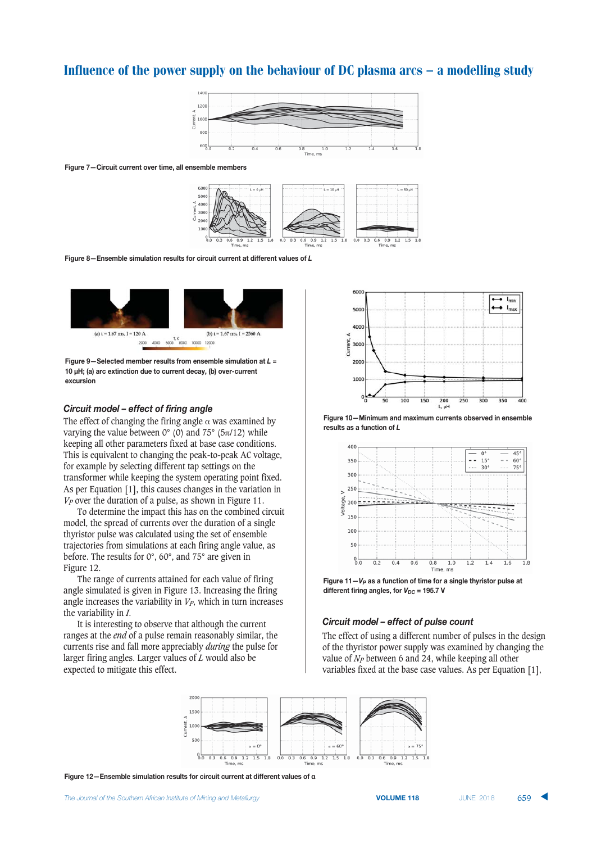

#### Figure 7-Circuit current over time, all ensemble members



Figure 8-Ensemble simulation results for circuit current at different values of L



Figure 9-Selected member results from ensemble simulation at  $L =$ 10 µH; (a) arc extinction due to current decay, (b) over-current excursion

# Circuit model - effect of firing angle

The effect of changing the firing angle  $\alpha$  was examined by varying the value between  $0^{\circ}$  (0) and  $75^{\circ}$  (5 $\pi$ /12) while keeping all other parameters fixed at base case conditions. This is equivalent to changing the peak-to-peak AC voltage, for example by selecting different tap settings on the transformer while keeping the system operating point fixed. As per Equation [1], this causes changes in the variation in  $V_P$  over the duration of a pulse, as shown in Figure 11.

To determine the impact this has on the combined circuit model, the spread of currents over the duration of a single thyristor pulse was calculated using the set of ensemble trajectories from simulations at each firing angle value, as before. The results for  $0^\circ$ ,  $60^\circ$ , and  $75^\circ$  are given in Figure 12.

The range of currents attained for each value of firing angle simulated is given in Figure 13. Increasing the firing angle increases the variability in  $V_P$ , which in turn increases the variability in *.* 

It is interesting to observe that although the current ranges at the *end* of a pulse remain reasonably similar, the currents rise and fall more appreciably during the pulse for larger firing angles. Larger values of  $L$  would also be expected to mitigate this effect.



Figure 10-Minimum and maximum currents observed in ensemble results as a function of L



Figure  $11 - V_P$  as a function of time for a single thyristor pulse at different firing angles, for  $V_{DC}$  = 195.7 V

### Circuit model - effect of pulse count

The effect of using a different number of pulses in the design of the thyristor power supply was examined by changing the value of  $N_P$  between 6 and 24, while keeping all other variables fixed at the base case values. As per Equation [1],



Figure 12-Ensemble simulation results for circuit current at different values of a